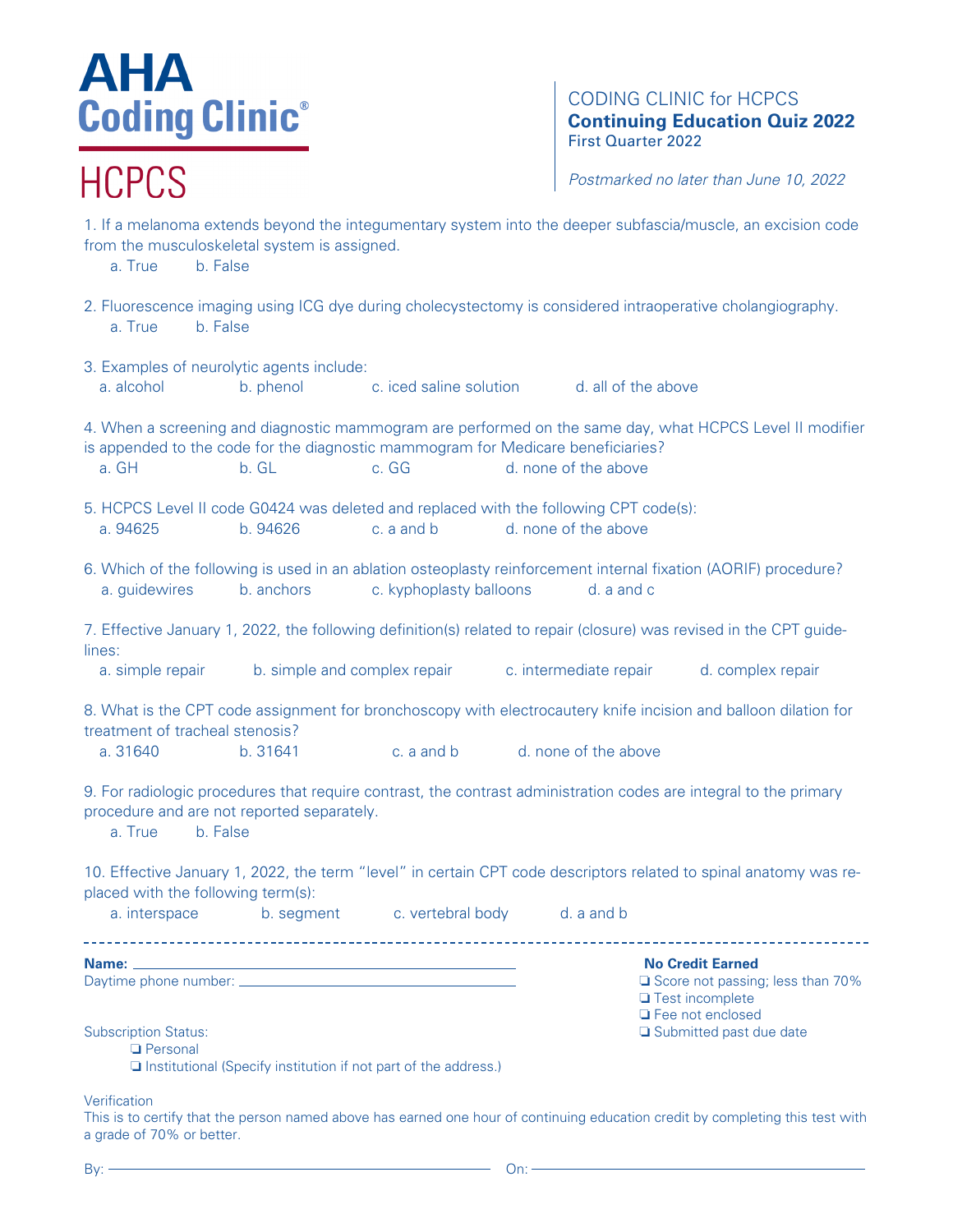## AHA **Coding Clinic®**

### **HCPCS**

CODING CLINIC for HCPCS **Continuing Education Quiz 2022** First Quarter 2022

*Postmarked no later than June 10, 2022*

❏ Test incomplete ❏ Fee not enclosed

from the musculoskeletal system is assigned. a. True b. False 2. Fluorescence imaging using ICG dye during cholecystectomy is considered intraoperative cholangiography. a. True b. False 3. Examples of neurolytic agents include: a. alcohol b. phenol c. iced saline solution d. all of the above 4. When a screening and diagnostic mammogram are performed on the same day, what HCPCS Level II modifier is appended to the code for the diagnostic mammogram for Medicare beneficiaries? a. GH b. GL c. GG d. none of the above 5. HCPCS Level II code G0424 was deleted and replaced with the following CPT code(s): a. 94625 b. 94626 c. a and b d. none of the above 6. Which of the following is used in an ablation osteoplasty reinforcement internal fixation (AORIF) procedure? a. guidewires b. anchors c. kyphoplasty balloons d. a and c 7. Effective January 1, 2022, the following definition(s) related to repair (closure) was revised in the CPT guidelines: a. simple repair b. simple and complex repair c. intermediate repair d. complex repair 8. What is the CPT code assignment for bronchoscopy with electrocautery knife incision and balloon dilation for treatment of tracheal stenosis? a. 31640 b. 31641 c. a and b d. none of the above 9. For radiologic procedures that require contrast, the contrast administration codes are integral to the primary procedure and are not reported separately.

1. If a melanoma extends beyond the integumentary system into the deeper subfascia/muscle, an excision code

a. True b. False

10. Effective January 1, 2022, the term "level" in certain CPT code descriptors related to spinal anatomy was replaced with the following term(s):

a. interspace b. segment c. vertebral body d. a and b

**Name: No Credit Earned**

Daytime phone number: ◯ ◯ Score not passing; less than 70%

Subscription Status: ❏ Submitted past due date

❏ Personal

❏ Institutional (Specify institution if not part of the address.)

**Verification** 

This is to certify that the person named above has earned one hour of continuing education credit by completing this test with a grade of 70% or better.